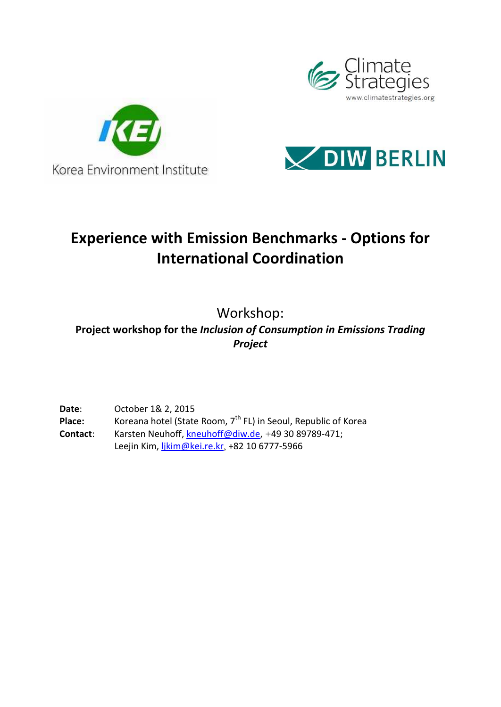





## **Experience with Emission Benchmarks - Options for International Coordination**

Workshop:

**Project workshop for the**  *Inclusion of Consumption in Emissions Trading Project*

**Date**: October 1& 2, 2015 **Date**: October 1& 2, 2015<br>**Place:** Koreana hotel (State Room, 7<sup>th</sup> FL) in Seoul, Republic of Korea **Contact**: Karsten Neuhoff Neuhoff, kneuhoff@diw.de, +49 30 89789-471; Leejin Kim, <u>ljkim@kei.re.kr</u>, +82 10 6777-5966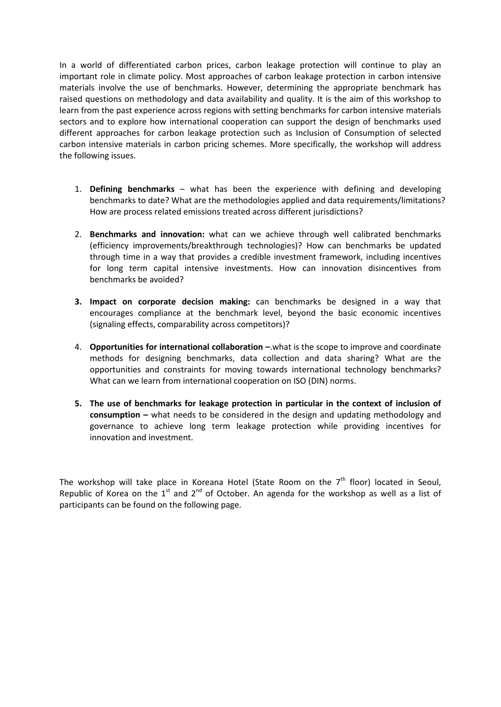In a world of differentiated carbon prices, carbon leakage protection will continue to play an important role in climate policy. Most approaches of carbon leakage protection in carbon intensive materials involve the use of benchmarks. However, determining the appropriate benchmark has raised questions on methodology and data availability and quality. It is the aim of this workshop to learn from the past experience across regions with setting benchmarks for carbon intensive materials sectors and to explore how international cooperation can support the design of benchmarks used different approaches for carbon leakage protection such as Inclusion of Consumption of selected carbon intensive materials in carbon pricing schemes. More specifically, the workshop will address the following issues.

- 1. **Defining benchmarks** what has been the experience with defining and developing benchmarks to date? What are the methodologies applied and data requirements/limitations? How are process related emissions treated across different jurisdictions?
- 2. **Benchmarks and innovation:** what can we achieve through well calibrated benchmarks (efficiency improvements/breakthrough technologies)? How can benchmarks be updated through time in a way that provides a credible investment framework, including incentives for long term capital intensive investments. How can innovation disincentives from benchmarks be avoided?
- **3. Impact on corporate decision making:** can benchmarks be designed in a way that encourages compliance at the benchmark level, beyond the basic economic incentives (signaling effects, comparability across competitors)?
- 4. **Opportunities for international collaboration –**.what is the scope to improve and coordinate methods for designing benchmarks, data collection and data sharing? What are the opportunities and constraints for moving towards international technology benchmarks? What can we learn from international cooperation on ISO (DIN) norms.
- **5. The use of benchmarks for leakage protection in particular in the context of inclusion of consumption –** what needs to be considered in the design and updating methodology and governance to achieve long term leakage protection while providing incentives for innovation and investment.

The workshop will take place in Koreana Hotel (State Room on the  $7<sup>th</sup>$  floor) located in Seoul, Republic of Korea on the  $1<sup>st</sup>$  and  $2<sup>nd</sup>$  of October. An agenda for the workshop as well as a list of participants can be found on the following page.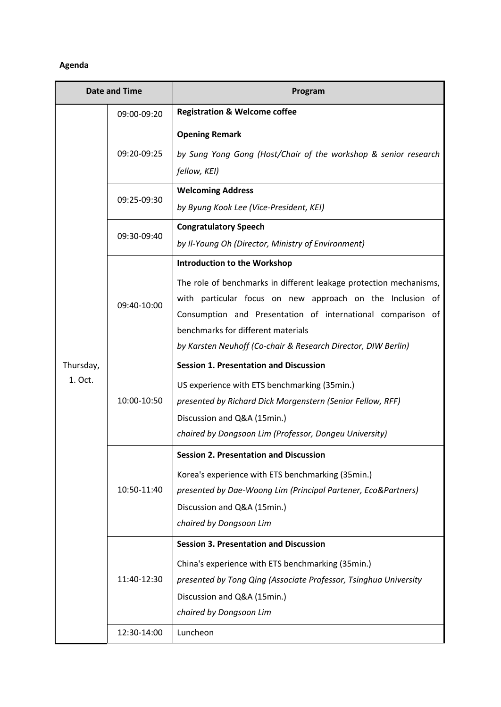## **Agenda**

| <b>Date and Time</b> |             | Program                                                                                                                                                                                                                                                                                                                                      |  |
|----------------------|-------------|----------------------------------------------------------------------------------------------------------------------------------------------------------------------------------------------------------------------------------------------------------------------------------------------------------------------------------------------|--|
|                      | 09:00-09:20 | <b>Registration &amp; Welcome coffee</b>                                                                                                                                                                                                                                                                                                     |  |
| Thursday,<br>1. Oct. | 09:20-09:25 | <b>Opening Remark</b><br>by Sung Yong Gong (Host/Chair of the workshop & senior research<br>fellow, KEI)                                                                                                                                                                                                                                     |  |
|                      | 09:25-09:30 | <b>Welcoming Address</b><br>by Byung Kook Lee (Vice-President, KEI)                                                                                                                                                                                                                                                                          |  |
|                      | 09:30-09:40 | <b>Congratulatory Speech</b><br>by Il-Young Oh (Director, Ministry of Environment)                                                                                                                                                                                                                                                           |  |
|                      | 09:40-10:00 | <b>Introduction to the Workshop</b><br>The role of benchmarks in different leakage protection mechanisms,<br>with particular focus on new approach on the Inclusion of<br>Consumption and Presentation of international comparison of<br>benchmarks for different materials<br>by Karsten Neuhoff (Co-chair & Research Director, DIW Berlin) |  |
|                      | 10:00-10:50 | <b>Session 1. Presentation and Discussion</b><br>US experience with ETS benchmarking (35min.)<br>presented by Richard Dick Morgenstern (Senior Fellow, RFF)<br>Discussion and Q&A (15min.)<br>chaired by Dongsoon Lim (Professor, Dongeu University)                                                                                         |  |
|                      | 10:50-11:40 | <b>Session 2. Presentation and Discussion</b><br>Korea's experience with ETS benchmarking (35min.)<br>presented by Dae-Woong Lim (Principal Partener, Eco&Partners)<br>Discussion and Q&A (15min.)<br>chaired by Dongsoon Lim                                                                                                                |  |
|                      | 11:40-12:30 | <b>Session 3. Presentation and Discussion</b><br>China's experience with ETS benchmarking (35min.)<br>presented by Tong Qing (Associate Professor, Tsinghua University<br>Discussion and Q&A (15min.)<br>chaired by Dongsoon Lim                                                                                                             |  |
|                      | 12:30-14:00 | Luncheon                                                                                                                                                                                                                                                                                                                                     |  |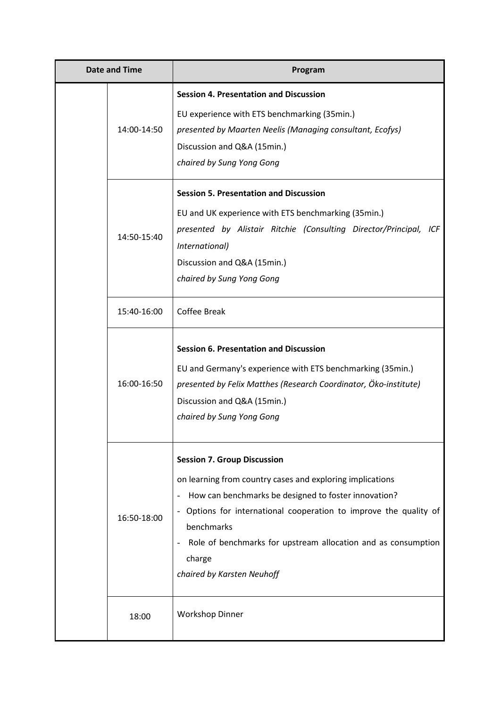|  | <b>Date and Time</b> | Program                                                                                                                                                                                                                                                                                                                                           |
|--|----------------------|---------------------------------------------------------------------------------------------------------------------------------------------------------------------------------------------------------------------------------------------------------------------------------------------------------------------------------------------------|
|  | 14:00-14:50          | <b>Session 4. Presentation and Discussion</b><br>EU experience with ETS benchmarking (35min.)<br>presented by Maarten Neelis (Managing consultant, Ecofys)<br>Discussion and Q&A (15min.)<br>chaired by Sung Yong Gong                                                                                                                            |
|  | 14:50-15:40          | <b>Session 5. Presentation and Discussion</b><br>EU and UK experience with ETS benchmarking (35min.)<br>presented by Alistair Ritchie (Consulting Director/Principal, ICF<br>International)<br>Discussion and Q&A (15min.)<br>chaired by Sung Yong Gong                                                                                           |
|  | 15:40-16:00          | <b>Coffee Break</b>                                                                                                                                                                                                                                                                                                                               |
|  | 16:00-16:50          | <b>Session 6. Presentation and Discussion</b><br>EU and Germany's experience with ETS benchmarking (35min.)<br>presented by Felix Matthes (Research Coordinator, Öko-institute)<br>Discussion and Q&A (15min.)<br>chaired by Sung Yong Gong                                                                                                       |
|  | 16:50-18:00          | <b>Session 7. Group Discussion</b><br>on learning from country cases and exploring implications<br>How can benchmarks be designed to foster innovation?<br>Options for international cooperation to improve the quality of<br>benchmarks<br>Role of benchmarks for upstream allocation and as consumption<br>charge<br>chaired by Karsten Neuhoff |
|  | 18:00                | <b>Workshop Dinner</b>                                                                                                                                                                                                                                                                                                                            |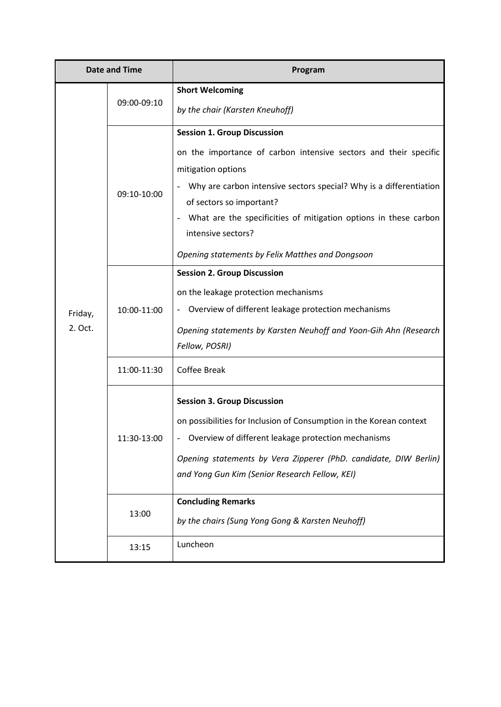| Date and Time      |             | Program                                                                                                                                                                                                                                                                                                                                                                      |  |
|--------------------|-------------|------------------------------------------------------------------------------------------------------------------------------------------------------------------------------------------------------------------------------------------------------------------------------------------------------------------------------------------------------------------------------|--|
| Friday,<br>2. Oct. | 09:00-09:10 | <b>Short Welcoming</b><br>by the chair (Karsten Kneuhoff)                                                                                                                                                                                                                                                                                                                    |  |
|                    | 09:10-10:00 | <b>Session 1. Group Discussion</b><br>on the importance of carbon intensive sectors and their specific<br>mitigation options<br>Why are carbon intensive sectors special? Why is a differentiation<br>of sectors so important?<br>What are the specificities of mitigation options in these carbon<br>intensive sectors?<br>Opening statements by Felix Matthes and Dongsoon |  |
|                    | 10:00-11:00 | <b>Session 2. Group Discussion</b><br>on the leakage protection mechanisms<br>Overview of different leakage protection mechanisms<br>Opening statements by Karsten Neuhoff and Yoon-Gih Ahn (Research<br>Fellow, POSRI)                                                                                                                                                      |  |
|                    | 11:00-11:30 | <b>Coffee Break</b>                                                                                                                                                                                                                                                                                                                                                          |  |
|                    | 11:30-13:00 | <b>Session 3. Group Discussion</b><br>on possibilities for Inclusion of Consumption in the Korean context<br>Overview of different leakage protection mechanisms<br>Opening statements by Vera Zipperer (PhD. candidate, DIW Berlin)<br>and Yong Gun Kim (Senior Research Fellow, KEI)                                                                                       |  |
|                    | 13:00       | <b>Concluding Remarks</b><br>by the chairs (Sung Yong Gong & Karsten Neuhoff)                                                                                                                                                                                                                                                                                                |  |
|                    | 13:15       | Luncheon                                                                                                                                                                                                                                                                                                                                                                     |  |